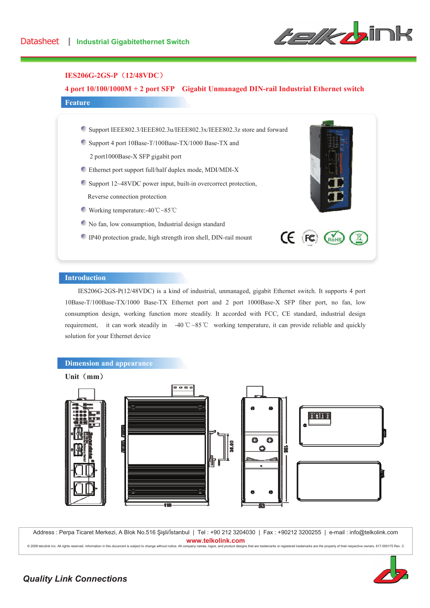

## **IES206G-2GS-P** (12/48VDC)

## **4 port 10/100/1000M + 2 port SFP Gigabit Unmanaged DIN-rail Industrial Ethernet switch**

## **Feature**

- Support IEEE802.3/IEEE802.3u/IEEE802.3x/IEEE802.3z store and forward
- Support 4 port 10Base-T/100Base-TX/1000 Base-TX and
	- 2 port1000Base-X SFP gigabit port
- Ethernet port support full/half duplex mode, MDI/MDI-X
- Support 12~48VDC power input, built-in overcorrect protection, Reverse connection protection
- Working temperature:-40 $\degree$ C $\degree$ 85 $\degree$ C
- No fan, low consumption, Industrial design standard
- IP40 protection grade, high strength iron shell, DIN-rail mount



#### **Introduction**

IES206G-2GS-P(12/48VDC) is a kind of industrial, unmanaged, gigabit Ethernet switch. It supports 4 port 10Base-T/100Base-TX/1000 Base-TX Ethernet port and 2 port 1000Base-X SFP fiber port, no fan, low consumption design, working function more steadily. It accorded with FCC, CE standard, industrial design requirement, it can work steadily in -40 °C ~85 °C working temperature, it can provide reliable and quickly solution for your Ethernet device



#### Unit (mm)



Address : Perpa Ticaret Merkezi, A Blok No.516 Şişli/İstanbul | Tel : +90 212 3204030 | Fax : +90212 3200255 | e-mail : info@telkolink.com www.telkolink.com

@ 2009 telcolink Inc. All rights reserved. Information in this document is subject to change without notice. A ll company names, logos, and product designs that are trademarks or registered trademarks are the property of their respective owners. 617-000175 Rev. C